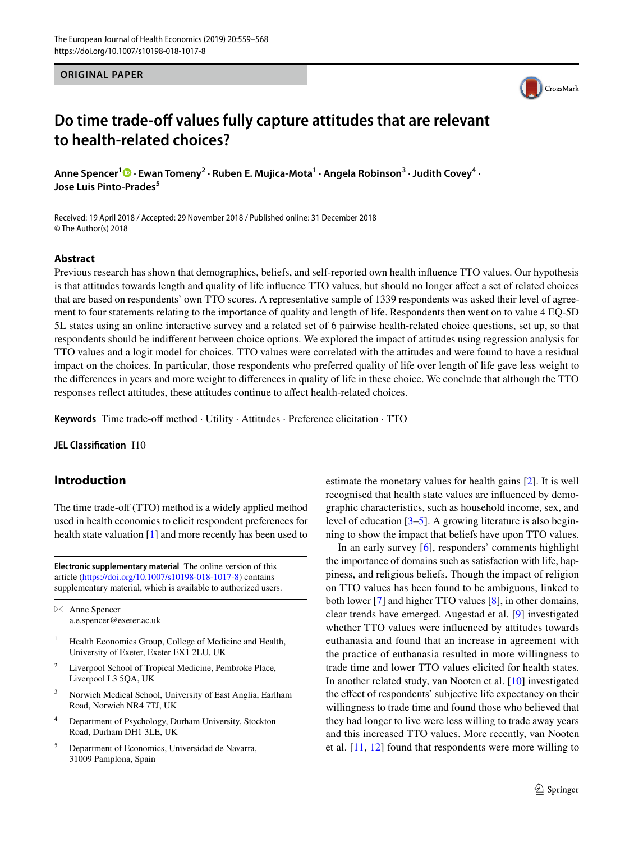#### **ORIGINAL PAPER**



# **Do time trade-off values fully capture attitudes that are relevant to health-related choices?**

Anne Spencer<sup>1</sup><sup>®</sup> [·](http://orcid.org/0000-0002-8163-3103) Ewan Tomeny<sup>2</sup> · Ruben E. Mujica-Mota<sup>1</sup> · Angela Robinson<sup>3</sup> · Judith Covey<sup>4</sup> · **Jose Luis Pinto‑Prades<sup>5</sup>**

Received: 19 April 2018 / Accepted: 29 November 2018 / Published online: 31 December 2018 © The Author(s) 2018

### **Abstract**

Previous research has shown that demographics, beliefs, and self-reported own health influence TTO values. Our hypothesis is that attitudes towards length and quality of life influence TTO values, but should no longer affect a set of related choices that are based on respondents' own TTO scores. A representative sample of 1339 respondents was asked their level of agreement to four statements relating to the importance of quality and length of life. Respondents then went on to value 4 EQ-5D 5L states using an online interactive survey and a related set of 6 pairwise health-related choice questions, set up, so that respondents should be indifferent between choice options. We explored the impact of attitudes using regression analysis for TTO values and a logit model for choices. TTO values were correlated with the attitudes and were found to have a residual impact on the choices. In particular, those respondents who preferred quality of life over length of life gave less weight to the differences in years and more weight to differences in quality of life in these choice. We conclude that although the TTO responses reflect attitudes, these attitudes continue to affect health-related choices.

**Keywords** Time trade-off method · Utility · Attitudes · Preference elicitation · TTO

**JEL Classification** I10

# **Introduction**

The time trade-off (TTO) method is a widely applied method used in health economics to elicit respondent preferences for health state valuation [[1](#page-9-0)] and more recently has been used to

**Electronic supplementary material** The online version of this article [\(https://doi.org/10.1007/s10198-018-1017-8\)](https://doi.org/10.1007/s10198-018-1017-8) contains supplementary material, which is available to authorized users.

 $\boxtimes$  Anne Spencer a.e.spencer@exeter.ac.uk

- <sup>1</sup> Health Economics Group, College of Medicine and Health, University of Exeter, Exeter EX1 2LU, UK
- Liverpool School of Tropical Medicine, Pembroke Place, Liverpool L3 5QA, UK
- <sup>3</sup> Norwich Medical School, University of East Anglia, Earlham Road, Norwich NR4 7TJ, UK
- <sup>4</sup> Department of Psychology, Durham University, Stockton Road, Durham DH1 3LE, UK
- <sup>5</sup> Department of Economics, Universidad de Navarra, 31009 Pamplona, Spain

estimate the monetary values for health gains [\[2](#page-9-1)]. It is well recognised that health state values are influenced by demographic characteristics, such as household income, sex, and level of education [\[3](#page-9-2)[–5](#page-9-3)]. A growing literature is also beginning to show the impact that beliefs have upon TTO values.

In an early survey [[6](#page-9-4)], responders' comments highlight the importance of domains such as satisfaction with life, happiness, and religious beliefs. Though the impact of religion on TTO values has been found to be ambiguous, linked to both lower [\[7](#page-9-5)] and higher TTO values [[8\]](#page-9-6), in other domains, clear trends have emerged. Augestad et al. [[9\]](#page-9-7) investigated whether TTO values were influenced by attitudes towards euthanasia and found that an increase in agreement with the practice of euthanasia resulted in more willingness to trade time and lower TTO values elicited for health states. In another related study, van Nooten et al. [\[10](#page-9-8)] investigated the effect of respondents' subjective life expectancy on their willingness to trade time and found those who believed that they had longer to live were less willing to trade away years and this increased TTO values. More recently, van Nooten et al. [\[11](#page-9-9), [12\]](#page-9-10) found that respondents were more willing to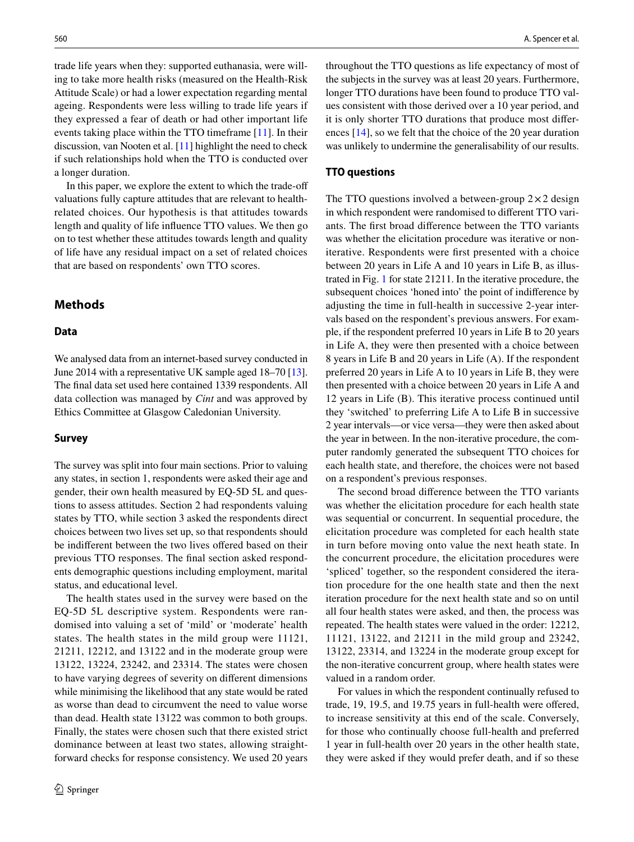trade life years when they: supported euthanasia, were willing to take more health risks (measured on the Health-Risk Attitude Scale) or had a lower expectation regarding mental ageing. Respondents were less willing to trade life years if they expressed a fear of death or had other important life events taking place within the TTO timeframe [[11\]](#page-9-9). In their discussion, van Nooten et al. [\[11](#page-9-9)] highlight the need to check if such relationships hold when the TTO is conducted over a longer duration.

In this paper, we explore the extent to which the trade-off valuations fully capture attitudes that are relevant to healthrelated choices. Our hypothesis is that attitudes towards length and quality of life influence TTO values. We then go on to test whether these attitudes towards length and quality of life have any residual impact on a set of related choices that are based on respondents' own TTO scores.

# **Methods**

# **Data**

We analysed data from an internet-based survey conducted in June 2014 with a representative UK sample aged 18–70 [[13](#page-9-11)]. The final data set used here contained 1339 respondents. All data collection was managed by *Cint* and was approved by Ethics Committee at Glasgow Caledonian University.

#### **Survey**

The survey was split into four main sections. Prior to valuing any states, in section 1, respondents were asked their age and gender, their own health measured by EQ-5D 5L and questions to assess attitudes. Section 2 had respondents valuing states by TTO, while section 3 asked the respondents direct choices between two lives set up, so that respondents should be indifferent between the two lives offered based on their previous TTO responses. The final section asked respondents demographic questions including employment, marital status, and educational level.

The health states used in the survey were based on the EQ-5D 5L descriptive system. Respondents were randomised into valuing a set of 'mild' or 'moderate' health states. The health states in the mild group were 11121, 21211, 12212, and 13122 and in the moderate group were 13122, 13224, 23242, and 23314. The states were chosen to have varying degrees of severity on different dimensions while minimising the likelihood that any state would be rated as worse than dead to circumvent the need to value worse than dead. Health state 13122 was common to both groups. Finally, the states were chosen such that there existed strict dominance between at least two states, allowing straightforward checks for response consistency. We used 20 years throughout the TTO questions as life expectancy of most of the subjects in the survey was at least 20 years. Furthermore, longer TTO durations have been found to produce TTO values consistent with those derived over a 10 year period, and it is only shorter TTO durations that produce most differences [\[14](#page-9-12)], so we felt that the choice of the 20 year duration was unlikely to undermine the generalisability of our results.

### **TTO questions**

The TTO questions involved a between-group  $2 \times 2$  design in which respondent were randomised to different TTO variants. The first broad difference between the TTO variants was whether the elicitation procedure was iterative or noniterative. Respondents were first presented with a choice between 20 years in Life A and 10 years in Life B, as illustrated in Fig. [1](#page-2-0) for state 21211. In the iterative procedure, the subsequent choices 'honed into' the point of indifference by adjusting the time in full-health in successive 2-year intervals based on the respondent's previous answers. For example, if the respondent preferred 10 years in Life B to 20 years in Life A, they were then presented with a choice between 8 years in Life B and 20 years in Life (A). If the respondent preferred 20 years in Life A to 10 years in Life B, they were then presented with a choice between 20 years in Life A and 12 years in Life (B). This iterative process continued until they 'switched' to preferring Life A to Life B in successive 2 year intervals—or vice versa—they were then asked about the year in between. In the non-iterative procedure, the computer randomly generated the subsequent TTO choices for each health state, and therefore, the choices were not based on a respondent's previous responses.

The second broad difference between the TTO variants was whether the elicitation procedure for each health state was sequential or concurrent. In sequential procedure, the elicitation procedure was completed for each health state in turn before moving onto value the next heath state. In the concurrent procedure, the elicitation procedures were 'spliced' together, so the respondent considered the iteration procedure for the one health state and then the next iteration procedure for the next health state and so on until all four health states were asked, and then, the process was repeated. The health states were valued in the order: 12212, 11121, 13122, and 21211 in the mild group and 23242, 13122, 23314, and 13224 in the moderate group except for the non-iterative concurrent group, where health states were valued in a random order.

For values in which the respondent continually refused to trade, 19, 19.5, and 19.75 years in full-health were offered, to increase sensitivity at this end of the scale. Conversely, for those who continually choose full-health and preferred 1 year in full-health over 20 years in the other health state, they were asked if they would prefer death, and if so these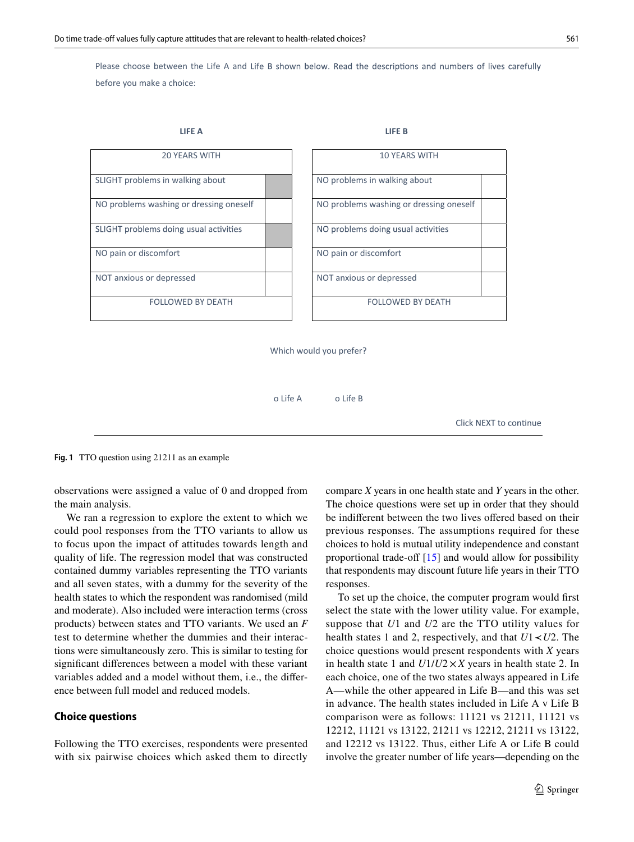Please choose between the Life A and Life B shown below. Read the descriptions and numbers of lives carefully before you make a choice:



Which would you prefer?

o Life A o Life B

Click NEXT to continue

<span id="page-2-0"></span>**Fig. 1** TTO question using 21211 as an example

observations were assigned a value of 0 and dropped from the main analysis.

We ran a regression to explore the extent to which we could pool responses from the TTO variants to allow us to focus upon the impact of attitudes towards length and quality of life. The regression model that was constructed contained dummy variables representing the TTO variants and all seven states, with a dummy for the severity of the health states to which the respondent was randomised (mild and moderate). Also included were interaction terms (cross products) between states and TTO variants. We used an *F* test to determine whether the dummies and their interactions were simultaneously zero. This is similar to testing for significant differences between a model with these variant variables added and a model without them, i.e., the difference between full model and reduced models.

## **Choice questions**

Following the TTO exercises, respondents were presented with six pairwise choices which asked them to directly compare *X* years in one health state and *Y* years in the other. The choice questions were set up in order that they should be indifferent between the two lives offered based on their previous responses. The assumptions required for these choices to hold is mutual utility independence and constant proportional trade-off [[15\]](#page-9-13) and would allow for possibility that respondents may discount future life years in their TTO responses.

To set up the choice, the computer program would first select the state with the lower utility value. For example, suppose that *U*1 and *U*2 are the TTO utility values for health states 1 and 2, respectively, and that *U*1*≺U*2. The choice questions would present respondents with *X* years in health state 1 and  $U1/U2 \times X$  years in health state 2. In each choice, one of the two states always appeared in Life A—while the other appeared in Life B—and this was set in advance. The health states included in Life A v Life B comparison were as follows: 11121 vs 21211, 11121 vs 12212, 11121 vs 13122, 21211 vs 12212, 21211 vs 13122, and 12212 vs 13122. Thus, either Life A or Life B could involve the greater number of life years—depending on the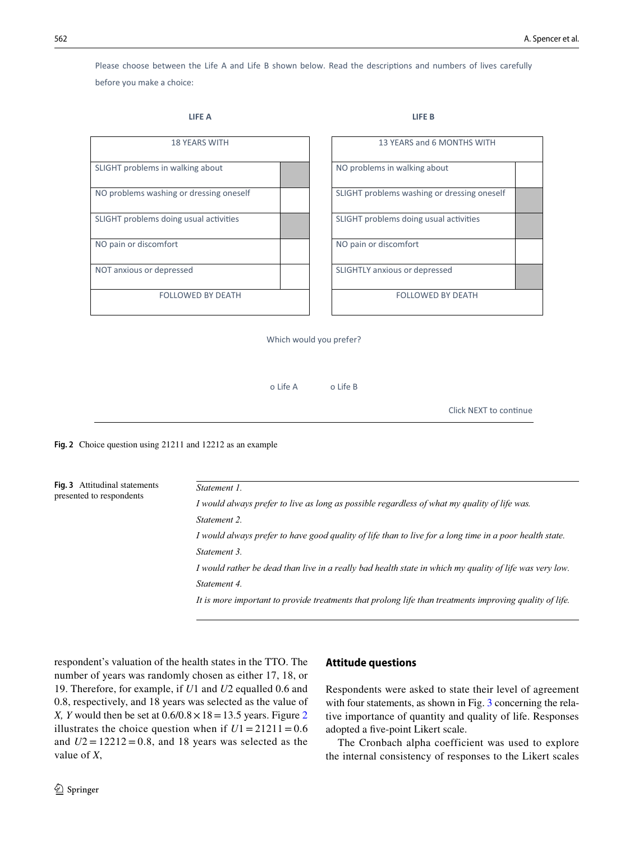Please choose between the Life A and Life B shown below. Read the descriptions and numbers of lives carefully before you make a choice:

#### **LIFE A LIFE B**

| <b>18 YEARS WITH</b>                    |  |  | 13 YEARS and 6 MONTHS WITH                  |
|-----------------------------------------|--|--|---------------------------------------------|
| SLIGHT problems in walking about        |  |  | NO problems in walking about                |
| NO problems washing or dressing oneself |  |  | SLIGHT problems washing or dressing oneself |
| SLIGHT problems doing usual activities  |  |  | SLIGHT problems doing usual activities      |
| NO pain or discomfort                   |  |  | NO pain or discomfort                       |
| NOT anxious or depressed                |  |  | SLIGHTLY anxious or depressed               |
| <b>FOLLOWED BY DEATH</b>                |  |  | <b>FOLLOWED BY DEATH</b>                    |

| <b>18 YEARS WITH</b>   | 13 YEARS and 6 MONTHS WITH                  |
|------------------------|---------------------------------------------|
| walking about          | NO problems in walking about                |
| g or dressing oneself  | SLIGHT problems washing or dressing oneself |
| ing usual activities   | SLIGHT problems doing usual activities      |
| rt                     | NO pain or discomfort                       |
| essed                  | SLIGHTLY anxious or depressed               |
| <b>LLOWED BY DEATH</b> | <b>FOLLOWED BY DEATH</b>                    |

Which would you prefer?

o Life A o Life B

Click NEXT to continue

<span id="page-3-0"></span>**Fig. 2** Choice question using 21211 and 12212 as an example

<span id="page-3-1"></span>

| Fig. 3 Attitudinal statements<br>presented to respondents | Statement 1.                                                                                            |
|-----------------------------------------------------------|---------------------------------------------------------------------------------------------------------|
|                                                           | I would always prefer to live as long as possible regardless of what my quality of life was.            |
|                                                           | Statement 2.                                                                                            |
|                                                           | I would always prefer to have good quality of life than to live for a long time in a poor health state. |
|                                                           | Statement 3.                                                                                            |
|                                                           | I would rather be dead than live in a really bad health state in which my quality of life was very low. |
|                                                           | Statement 4.                                                                                            |
|                                                           | It is more important to provide treatments that prolong life than treatments improving quality of life. |

respondent's valuation of the health states in the TTO. The number of years was randomly chosen as either 17, 18, or 19. Therefore, for example, if *U*1 and *U*2 equalled 0.6 and 0.8, respectively, and 18 years was selected as the value of *X, Y* would then be set at  $0.6/0.8 \times 18 = 13.5$  years. Figure [2](#page-3-0) illustrates the choice question when if  $U1 = 21211 = 0.6$ and  $U2 = 12212 = 0.8$ , and 18 years was selected as the value of *X*,

# **Attitude questions**

Respondents were asked to state their level of agreement with four statements, as shown in Fig. [3](#page-3-1) concerning the relative importance of quantity and quality of life. Responses adopted a five-point Likert scale.

The Cronbach alpha coefficient was used to explore the internal consistency of responses to the Likert scales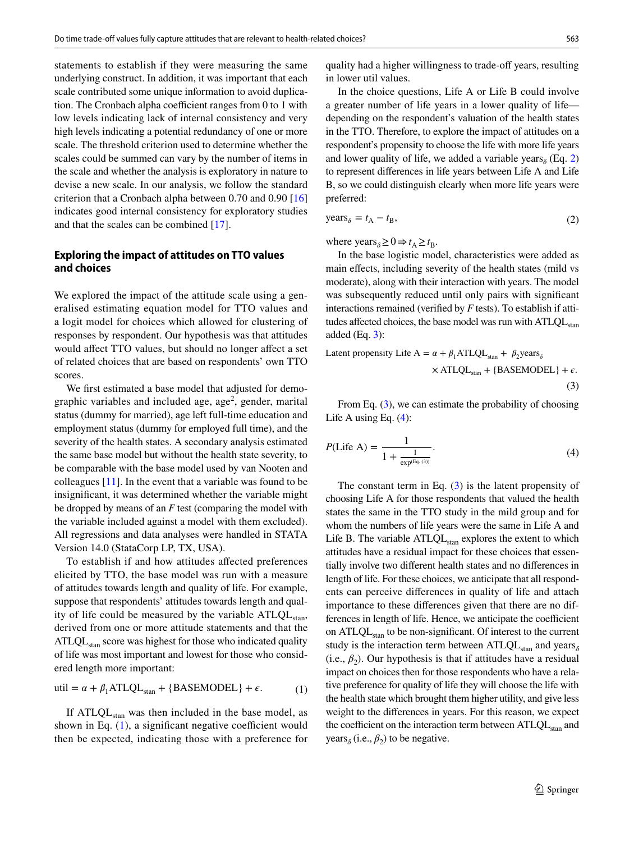statements to establish if they were measuring the same underlying construct. In addition, it was important that each scale contributed some unique information to avoid duplication. The Cronbach alpha coefficient ranges from 0 to 1 with low levels indicating lack of internal consistency and very high levels indicating a potential redundancy of one or more scale. The threshold criterion used to determine whether the scales could be summed can vary by the number of items in the scale and whether the analysis is exploratory in nature to devise a new scale. In our analysis, we follow the standard criterion that a Cronbach alpha between 0.70 and 0.90 [[16\]](#page-9-14) indicates good internal consistency for exploratory studies and that the scales can be combined [\[17](#page-9-15)].

# **Exploring the impact of attitudes on TTO values and choices**

We explored the impact of the attitude scale using a generalised estimating equation model for TTO values and a logit model for choices which allowed for clustering of responses by respondent. Our hypothesis was that attitudes would affect TTO values, but should no longer affect a set of related choices that are based on respondents' own TTO scores.

We first estimated a base model that adjusted for demographic variables and included age,  $age^2$ , gender, marital status (dummy for married), age left full-time education and employment status (dummy for employed full time), and the severity of the health states. A secondary analysis estimated the same base model but without the health state severity, to be comparable with the base model used by van Nooten and colleagues [\[11](#page-9-9)]. In the event that a variable was found to be insignificant, it was determined whether the variable might be dropped by means of an *F* test (comparing the model with the variable included against a model with them excluded). All regressions and data analyses were handled in STATA Version 14.0 (StataCorp LP, TX, USA).

To establish if and how attitudes affected preferences elicited by TTO, the base model was run with a measure of attitudes towards length and quality of life. For example, suppose that respondents' attitudes towards length and quality of life could be measured by the variable  $ATLQL<sub>stan</sub>$ , derived from one or more attitude statements and that the  $ATLQL<sub>stan</sub>$  score was highest for those who indicated quality of life was most important and lowest for those who considered length more important:

$$
util = \alpha + \beta_1 ATLQL_{stan} + \{BASEMODEL\} + \epsilon.
$$
 (1)

If  $ATLQL<sub>stan</sub>$  was then included in the base model, as shown in Eq. [\(1](#page-4-0)), a significant negative coefficient would then be expected, indicating those with a preference for

quality had a higher willingness to trade-off years, resulting in lower util values.

In the choice questions, Life A or Life B could involve a greater number of life years in a lower quality of life depending on the respondent's valuation of the health states in the TTO. Therefore, to explore the impact of attitudes on a respondent's propensity to choose the life with more life years and lower quality of life, we added a variable years<sub> $\delta$ </sub> (Eq. [2\)](#page-4-1) to represent differences in life years between Life A and Life B, so we could distinguish clearly when more life years were preferred:

<span id="page-4-1"></span>
$$
years_{\delta} = t_{A} - t_{B}, \tag{2}
$$

where  $\text{years}_{\delta} \geq 0 \Rightarrow t_{\text{A}} \geq t_{\text{B}}$ .

In the base logistic model, characteristics were added as main effects, including severity of the health states (mild vs moderate), along with their interaction with years. The model was subsequently reduced until only pairs with significant interactions remained (verified by *F* tests). To establish if attitudes affected choices, the base model was run with  $ATLQL<sub>star</sub>$ added  $(Eq. 3)$  $(Eq. 3)$ :

<span id="page-4-2"></span>Latent propensity Life A = 
$$
α + β₁
$$
ATLQL<sub>stan</sub> +  $β₂$ years<sub>δ</sub>  
× ATLQL<sub>stan</sub> + {BASEMODEL} +  $ε$ . (3)

From Eq.  $(3)$  $(3)$ , we can estimate the probability of choosing Life A using Eq. [\(4](#page-4-3)):

<span id="page-4-3"></span>
$$
P(\text{Life A}) = \frac{1}{1 + \frac{1}{\exp(\text{Eq. (3)})}}.\tag{4}
$$

<span id="page-4-0"></span>The constant term in Eq.  $(3)$  $(3)$  is the latent propensity of choosing Life A for those respondents that valued the health states the same in the TTO study in the mild group and for whom the numbers of life years were the same in Life A and Life B. The variable  $ATLQL<sub>stan</sub>$  explores the extent to which attitudes have a residual impact for these choices that essentially involve two different health states and no differences in length of life. For these choices, we anticipate that all respondents can perceive differences in quality of life and attach importance to these differences given that there are no differences in length of life. Hence, we anticipate the coefficient on  $ATLQL<sub>stan</sub>$  to be non-significant. Of interest to the current study is the interaction term between  $ATLQL<sub>stan</sub>$  and years<sub> $\delta$ </sub> (i.e.,  $\beta_2$ ). Our hypothesis is that if attitudes have a residual impact on choices then for those respondents who have a relative preference for quality of life they will choose the life with the health state which brought them higher utility, and give less weight to the differences in years. For this reason, we expect the coefficient on the interaction term between  $ATLQL<sub>stan</sub>$  and years<sub> $\delta$ </sub> (i.e.,  $\beta_2$ ) to be negative.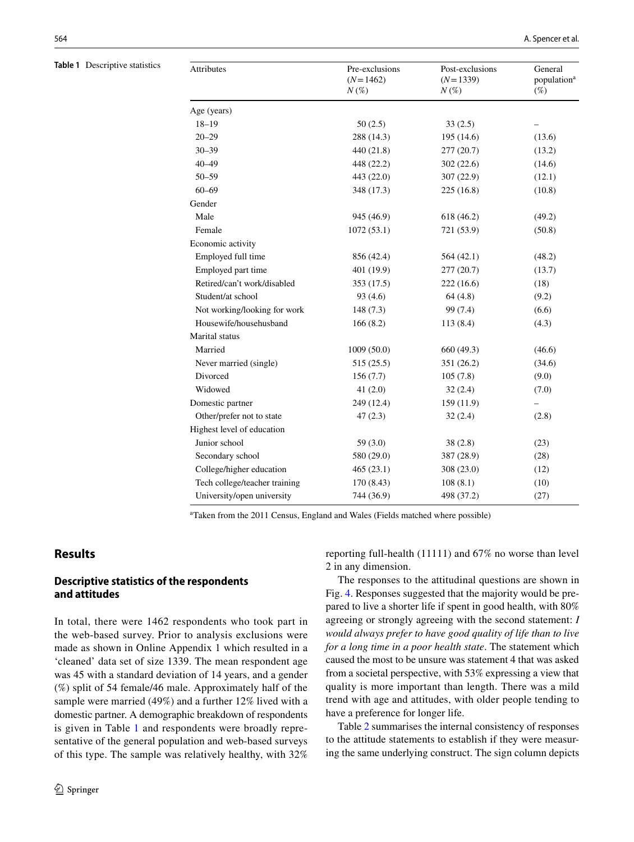<span id="page-5-0"></span>**Table 1** Descriptive statistics

| Attributes                    | Pre-exclusions<br>$(N=1462)$<br>$N(\%)$ | Post-exclusions<br>$(N=1339)$<br>$N(\%)$ | General<br>population <sup>a</sup><br>$(\%)$ |  |
|-------------------------------|-----------------------------------------|------------------------------------------|----------------------------------------------|--|
| Age (years)                   |                                         |                                          |                                              |  |
| $18 - 19$                     | 50(2.5)                                 | 33(2.5)                                  |                                              |  |
| $20 - 29$                     | 288 (14.3)                              | 195 (14.6)                               | (13.6)                                       |  |
| $30 - 39$                     | 440 (21.8)                              | 277 (20.7)                               | (13.2)                                       |  |
| $40 - 49$                     | 448 (22.2)                              | 302 (22.6)                               | (14.6)                                       |  |
| $50 - 59$                     | 443 (22.0)                              | 307(22.9)                                | (12.1)                                       |  |
| $60 - 69$                     | 348 (17.3)                              | 225(16.8)                                | (10.8)                                       |  |
| Gender                        |                                         |                                          |                                              |  |
| Male                          | 945 (46.9)                              | 618 (46.2)                               | (49.2)                                       |  |
| Female                        | 1072(53.1)                              | 721 (53.9)                               | (50.8)                                       |  |
| Economic activity             |                                         |                                          |                                              |  |
| Employed full time            | 856 (42.4)                              | 564 (42.1)                               | (48.2)                                       |  |
| Employed part time            | 401 (19.9)                              | 277 (20.7)                               | (13.7)                                       |  |
| Retired/can't work/disabled   | 353 (17.5)                              | 222(16.6)                                | (18)                                         |  |
| Student/at school             | 93(4.6)                                 | 64(4.8)                                  | (9.2)                                        |  |
| Not working/looking for work  | 148(7.3)                                | 99 (7.4)                                 | (6.6)                                        |  |
| Housewife/househusband        | 166(8.2)                                | 113(8.4)                                 | (4.3)                                        |  |
| Marital status                |                                         |                                          |                                              |  |
| Married                       | 1009(50.0)                              | 660 (49.3)                               | (46.6)                                       |  |
| Never married (single)        | 515(25.5)                               | 351 (26.2)                               | (34.6)                                       |  |
| Divorced                      | 156(7.7)                                | 105(7.8)                                 | (9.0)                                        |  |
| Widowed                       | 41(2.0)                                 | 32(2.4)                                  | (7.0)                                        |  |
| Domestic partner              | 249 (12.4)                              | 159 (11.9)                               |                                              |  |
| Other/prefer not to state     | 47(2.3)                                 | 32(2.4)                                  | (2.8)                                        |  |
| Highest level of education    |                                         |                                          |                                              |  |
| Junior school                 | 59(3.0)                                 | 38(2.8)                                  | (23)                                         |  |
| Secondary school              | 580 (29.0)                              | 387 (28.9)                               | (28)                                         |  |
| College/higher education      | 465(23.1)                               | 308 (23.0)                               | (12)                                         |  |
| Tech college/teacher training | 170 (8.43)                              | 108(8.1)                                 | (10)                                         |  |
| University/open university    | 744 (36.9)                              | 498 (37.2)                               | (27)                                         |  |

<sup>a</sup>Taken from the 2011 Census, England and Wales (Fields matched where possible)

# **Results**

# **Descriptive statistics of the respondents and attitudes**

In total, there were 1462 respondents who took part in the web-based survey. Prior to analysis exclusions were made as shown in Online Appendix 1 which resulted in a 'cleaned' data set of size 1339. The mean respondent age was 45 with a standard deviation of 14 years, and a gender (%) split of 54 female/46 male. Approximately half of the sample were married (49%) and a further 12% lived with a domestic partner. A demographic breakdown of respondents is given in Table [1](#page-5-0) and respondents were broadly representative of the general population and web-based surveys of this type. The sample was relatively healthy, with 32%

reporting full-health (11111) and 67% no worse than level 2 in any dimension.

The responses to the attitudinal questions are shown in Fig. [4](#page-6-0). Responses suggested that the majority would be prepared to live a shorter life if spent in good health, with 80% agreeing or strongly agreeing with the second statement: *I would always prefer to have good quality of life than to live for a long time in a poor health state*. The statement which caused the most to be unsure was statement 4 that was asked from a societal perspective, with 53% expressing a view that quality is more important than length. There was a mild trend with age and attitudes, with older people tending to have a preference for longer life.

Table [2](#page-6-1) summarises the internal consistency of responses to the attitude statements to establish if they were measuring the same underlying construct. The sign column depicts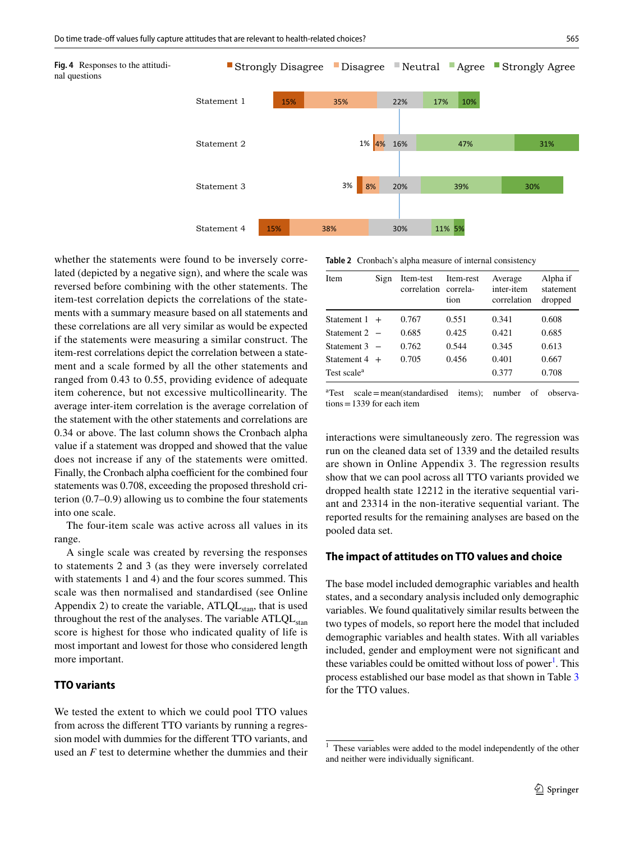<span id="page-6-0"></span>



whether the statements were found to be inversely correlated (depicted by a negative sign), and where the scale was reversed before combining with the other statements. The item-test correlation depicts the correlations of the statements with a summary measure based on all statements and these correlations are all very similar as would be expected if the statements were measuring a similar construct. The item-rest correlations depict the correlation between a statement and a scale formed by all the other statements and ranged from 0.43 to 0.55, providing evidence of adequate item coherence, but not excessive multicollinearity. The average inter-item correlation is the average correlation of the statement with the other statements and correlations are 0.34 or above. The last column shows the Cronbach alpha value if a statement was dropped and showed that the value does not increase if any of the statements were omitted. Finally, the Cronbach alpha coefficient for the combined four statements was 0.708, exceeding the proposed threshold criterion (0.7–0.9) allowing us to combine the four statements into one scale.

The four-item scale was active across all values in its range.

A single scale was created by reversing the responses to statements 2 and 3 (as they were inversely correlated with statements 1 and 4) and the four scores summed. This scale was then normalised and standardised (see Online Appendix 2) to create the variable,  $ATLQL<sub>stan</sub>$ , that is used throughout the rest of the analyses. The variable  $ATLQL<sub>stan</sub>$ score is highest for those who indicated quality of life is most important and lowest for those who considered length more important.

# **TTO variants**

We tested the extent to which we could pool TTO values from across the different TTO variants by running a regression model with dummies for the different TTO variants, and used an *F* test to determine whether the dummies and their

<span id="page-6-1"></span>**Table 2** Cronbach's alpha measure of internal consistency

| <b>Item</b>             | Sign   | Item-test<br>correlation correla- | Item-rest<br>tion | Average<br>inter-item<br>correlation | Alpha if<br>statement<br>dropped |
|-------------------------|--------|-----------------------------------|-------------------|--------------------------------------|----------------------------------|
| Statement $1 +$         |        | 0.767                             | 0.551             | 0.341                                | 0.608                            |
| Statement 2             |        | 0.685                             | 0.425             | 0.421                                | 0.685                            |
| Statement 3             | $\sim$ | 0.762                             | 0.544             | 0.345                                | 0.613                            |
| Statement $4 +$         |        | 0.705                             | 0.456             | 0.401                                | 0.667                            |
| Test scale <sup>a</sup> |        |                                   |                   | 0.377                                | 0.708                            |

a Test scale=mean(standardised items); number of observa $tions = 1339$  for each item

interactions were simultaneously zero. The regression was run on the cleaned data set of 1339 and the detailed results are shown in Online Appendix 3. The regression results show that we can pool across all TTO variants provided we dropped health state 12212 in the iterative sequential variant and 23314 in the non-iterative sequential variant. The reported results for the remaining analyses are based on the pooled data set.

## **The impact of attitudes on TTO values and choice**

The base model included demographic variables and health states, and a secondary analysis included only demographic variables. We found qualitatively similar results between the two types of models, so report here the model that included demographic variables and health states. With all variables included, gender and employment were not significant and these variables could be omitted without loss of power<sup>[1](#page-6-2)</sup>. This process established our base model as that shown in Table [3](#page-7-0) for the TTO values.

<span id="page-6-2"></span><sup>&</sup>lt;sup>1</sup> These variables were added to the model independently of the other and neither were individually significant.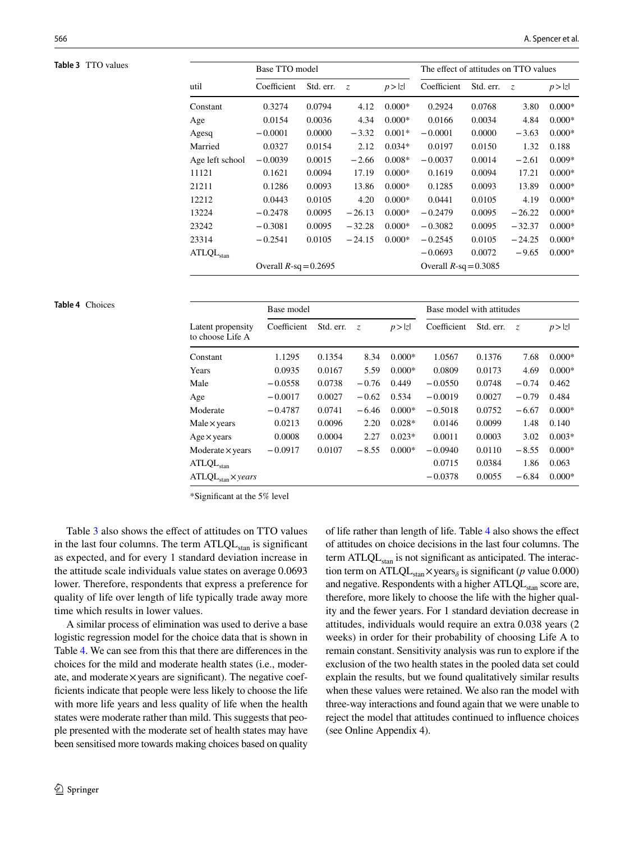<span id="page-7-0"></span>

| Table 3 TTO values |                                | Base TTO model           |           |          | The effect of attitudes on TTO values |                          |           |          |          |
|--------------------|--------------------------------|--------------------------|-----------|----------|---------------------------------------|--------------------------|-----------|----------|----------|
|                    | util                           | Coefficient              | Std. err. | Z        | p >  z                                | Coefficient              | Std. err. | $Z_{i}$  | p >  z   |
|                    | Constant                       | 0.3274                   | 0.0794    | 4.12     | $0.000*$                              | 0.2924                   | 0.0768    | 3.80     | $0.000*$ |
|                    | Age                            | 0.0154                   | 0.0036    | 4.34     | $0.000*$                              | 0.0166                   | 0.0034    | 4.84     | $0.000*$ |
|                    | Agesq                          | $-0.0001$                | 0.0000    | $-3.32$  | $0.001*$                              | $-0.0001$                | 0.0000    | $-3.63$  | $0.000*$ |
|                    | Married                        | 0.0327                   | 0.0154    | 2.12     | $0.034*$                              | 0.0197                   | 0.0150    | 1.32     | 0.188    |
|                    | Age left school                | $-0.0039$                | 0.0015    | $-2.66$  | $0.008*$                              | $-0.0037$                | 0.0014    | $-2.61$  | $0.009*$ |
|                    | 11121                          | 0.1621                   | 0.0094    | 17.19    | $0.000*$                              | 0.1619                   | 0.0094    | 17.21    | $0.000*$ |
|                    | 21211                          | 0.1286                   | 0.0093    | 13.86    | $0.000*$                              | 0.1285                   | 0.0093    | 13.89    | $0.000*$ |
|                    | 12212                          | 0.0443                   | 0.0105    | 4.20     | $0.000*$                              | 0.0441                   | 0.0105    | 4.19     | $0.000*$ |
|                    | 13224                          | $-0.2478$                | 0.0095    | $-26.13$ | $0.000*$                              | $-0.2479$                | 0.0095    | $-26.22$ | $0.000*$ |
|                    | 23242                          | $-0.3081$                | 0.0095    | $-32.28$ | $0.000*$                              | $-0.3082$                | 0.0095    | $-32.37$ | $0.000*$ |
|                    | 23314                          | $-0.2541$                | 0.0105    | $-24.15$ | $0.000*$                              | $-0.2545$                | 0.0105    | $-24.25$ | $0.000*$ |
|                    | $\mathrm{ATLQL}_\mathrm{stan}$ |                          |           |          |                                       | $-0.0693$                | 0.0072    | $-9.65$  | $0.000*$ |
|                    |                                | Overall $R$ -sq = 0.2695 |           |          |                                       | Overall $R$ -sq = 0.3085 |           |          |          |

#### <span id="page-7-1"></span>**Table 4** Choices

|                                       | Base model  |           |                |          | Base model with attitudes |           |         |          |
|---------------------------------------|-------------|-----------|----------------|----------|---------------------------|-----------|---------|----------|
| Latent propensity<br>to choose Life A | Coefficient | Std. err. | $\overline{z}$ | p >  z   | Coefficient               | Std. err. | Z       | p >  z   |
| Constant                              | 1.1295      | 0.1354    | 8.34           | $0.000*$ | 1.0567                    | 0.1376    | 7.68    | $0.000*$ |
| Years                                 | 0.0935      | 0.0167    | 5.59           | $0.000*$ | 0.0809                    | 0.0173    | 4.69    | $0.000*$ |
| Male                                  | $-0.0558$   | 0.0738    | $-0.76$        | 0.449    | $-0.0550$                 | 0.0748    | $-0.74$ | 0.462    |
| Age                                   | $-0.0017$   | 0.0027    | $-0.62$        | 0.534    | $-0.0019$                 | 0.0027    | $-0.79$ | 0.484    |
| Moderate                              | $-0.4787$   | 0.0741    | $-6.46$        | $0.000*$ | $-0.5018$                 | 0.0752    | $-6.67$ | $0.000*$ |
| Male $\times$ years                   | 0.0213      | 0.0096    | 2.20           | $0.028*$ | 0.0146                    | 0.0099    | 1.48    | 0.140    |
| $Age \times years$                    | 0.0008      | 0.0004    | 2.27           | $0.023*$ | 0.0011                    | 0.0003    | 3.02    | $0.003*$ |
| Moderate $\times$ years               | $-0.0917$   | 0.0107    | $-8.55$        | $0.000*$ | $-0.0940$                 | 0.0110    | $-8.55$ | $0.000*$ |
| ATLQL <sub>stan</sub>                 |             |           |                |          | 0.0715                    | 0.0384    | 1.86    | 0.063    |
| $ATLQLstan \times years$              |             |           |                |          | $-0.0378$                 | 0.0055    | $-6.84$ | $0.000*$ |

\*Significant at the 5% level

Table [3](#page-7-0) also shows the effect of attitudes on TTO values in the last four columns. The term  $ATLQL<sub>stan</sub>$  is significant as expected, and for every 1 standard deviation increase in the attitude scale individuals value states on average 0.0693 lower. Therefore, respondents that express a preference for quality of life over length of life typically trade away more time which results in lower values.

A similar process of elimination was used to derive a base logistic regression model for the choice data that is shown in Table [4](#page-7-1). We can see from this that there are differences in the choices for the mild and moderate health states (i.e., moderate, and moderate $\times$  years are significant). The negative coefficients indicate that people were less likely to choose the life with more life years and less quality of life when the health states were moderate rather than mild. This suggests that people presented with the moderate set of health states may have been sensitised more towards making choices based on quality

of life rather than length of life. Table [4](#page-7-1) also shows the effect of attitudes on choice decisions in the last four columns. The term  $ATLQL<sub>stan</sub>$  is not significant as anticipated. The interaction term on ATLQL<sub>stan</sub>×years<sub> $\delta$ </sub> is significant (*p* value 0.000) and negative. Respondents with a higher  $ATLQL<sub>stan</sub>$  score are, therefore, more likely to choose the life with the higher quality and the fewer years. For 1 standard deviation decrease in attitudes, individuals would require an extra 0.038 years (2 weeks) in order for their probability of choosing Life A to remain constant. Sensitivity analysis was run to explore if the exclusion of the two health states in the pooled data set could explain the results, but we found qualitatively similar results when these values were retained. We also ran the model with three-way interactions and found again that we were unable to reject the model that attitudes continued to influence choices (see Online Appendix 4).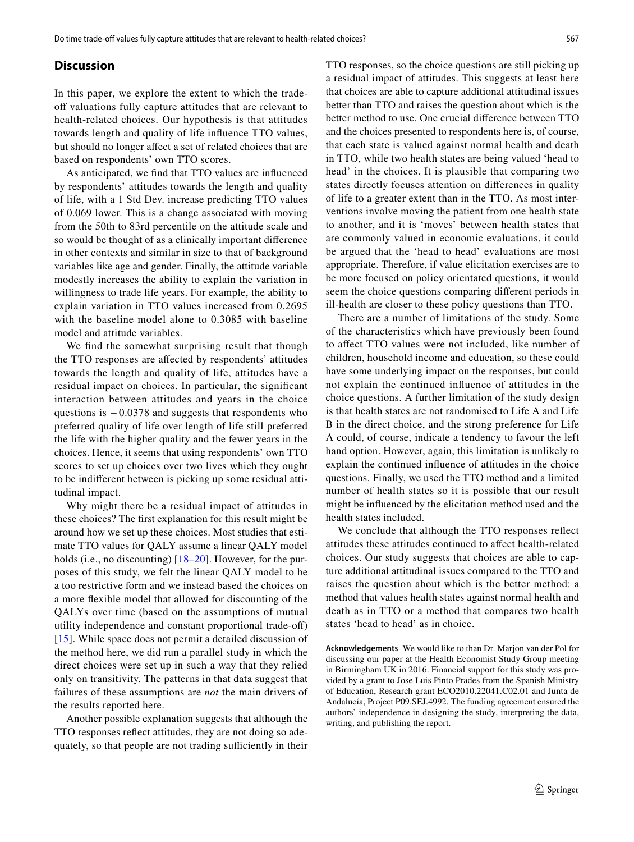#### **Discussion**

In this paper, we explore the extent to which the tradeoff valuations fully capture attitudes that are relevant to health-related choices. Our hypothesis is that attitudes towards length and quality of life influence TTO values, but should no longer affect a set of related choices that are based on respondents' own TTO scores.

As anticipated, we find that TTO values are influenced by respondents' attitudes towards the length and quality of life, with a 1 Std Dev. increase predicting TTO values of 0.069 lower. This is a change associated with moving from the 50th to 83rd percentile on the attitude scale and so would be thought of as a clinically important difference in other contexts and similar in size to that of background variables like age and gender. Finally, the attitude variable modestly increases the ability to explain the variation in willingness to trade life years. For example, the ability to explain variation in TTO values increased from 0.2695 with the baseline model alone to 0.3085 with baseline model and attitude variables.

We find the somewhat surprising result that though the TTO responses are affected by respondents' attitudes towards the length and quality of life, attitudes have a residual impact on choices. In particular, the significant interaction between attitudes and years in the choice questions is  $-0.0378$  and suggests that respondents who preferred quality of life over length of life still preferred the life with the higher quality and the fewer years in the choices. Hence, it seems that using respondents' own TTO scores to set up choices over two lives which they ought to be indifferent between is picking up some residual attitudinal impact.

Why might there be a residual impact of attitudes in these choices? The first explanation for this result might be around how we set up these choices. Most studies that estimate TTO values for QALY assume a linear QALY model holds (i.e., no discounting) [\[18–](#page-9-16)[20\]](#page-9-17). However, for the purposes of this study, we felt the linear QALY model to be a too restrictive form and we instead based the choices on a more flexible model that allowed for discounting of the QALYs over time (based on the assumptions of mutual utility independence and constant proportional trade-off) [[15\]](#page-9-13). While space does not permit a detailed discussion of the method here, we did run a parallel study in which the direct choices were set up in such a way that they relied only on transitivity. The patterns in that data suggest that failures of these assumptions are *not* the main drivers of the results reported here.

Another possible explanation suggests that although the TTO responses reflect attitudes, they are not doing so adequately, so that people are not trading sufficiently in their TTO responses, so the choice questions are still picking up a residual impact of attitudes. This suggests at least here that choices are able to capture additional attitudinal issues better than TTO and raises the question about which is the better method to use. One crucial difference between TTO and the choices presented to respondents here is, of course, that each state is valued against normal health and death in TTO, while two health states are being valued 'head to head' in the choices. It is plausible that comparing two states directly focuses attention on differences in quality of life to a greater extent than in the TTO. As most interventions involve moving the patient from one health state to another, and it is 'moves' between health states that are commonly valued in economic evaluations, it could be argued that the 'head to head' evaluations are most appropriate. Therefore, if value elicitation exercises are to be more focused on policy orientated questions, it would seem the choice questions comparing different periods in ill-health are closer to these policy questions than TTO.

There are a number of limitations of the study. Some of the characteristics which have previously been found to affect TTO values were not included, like number of children, household income and education, so these could have some underlying impact on the responses, but could not explain the continued influence of attitudes in the choice questions. A further limitation of the study design is that health states are not randomised to Life A and Life B in the direct choice, and the strong preference for Life A could, of course, indicate a tendency to favour the left hand option. However, again, this limitation is unlikely to explain the continued influence of attitudes in the choice questions. Finally, we used the TTO method and a limited number of health states so it is possible that our result might be influenced by the elicitation method used and the health states included.

We conclude that although the TTO responses reflect attitudes these attitudes continued to affect health-related choices. Our study suggests that choices are able to capture additional attitudinal issues compared to the TTO and raises the question about which is the better method: a method that values health states against normal health and death as in TTO or a method that compares two health states 'head to head' as in choice.

**Acknowledgements** We would like to than Dr. Marjon van der Pol for discussing our paper at the Health Economist Study Group meeting in Birmingham UK in 2016. Financial support for this study was provided by a grant to Jose Luis Pinto Prades from the Spanish Ministry of Education, Research grant ECO2010.22041.C02.01 and Junta de Andalucía, Project P09.SEJ.4992. The funding agreement ensured the authors' independence in designing the study, interpreting the data, writing, and publishing the report.